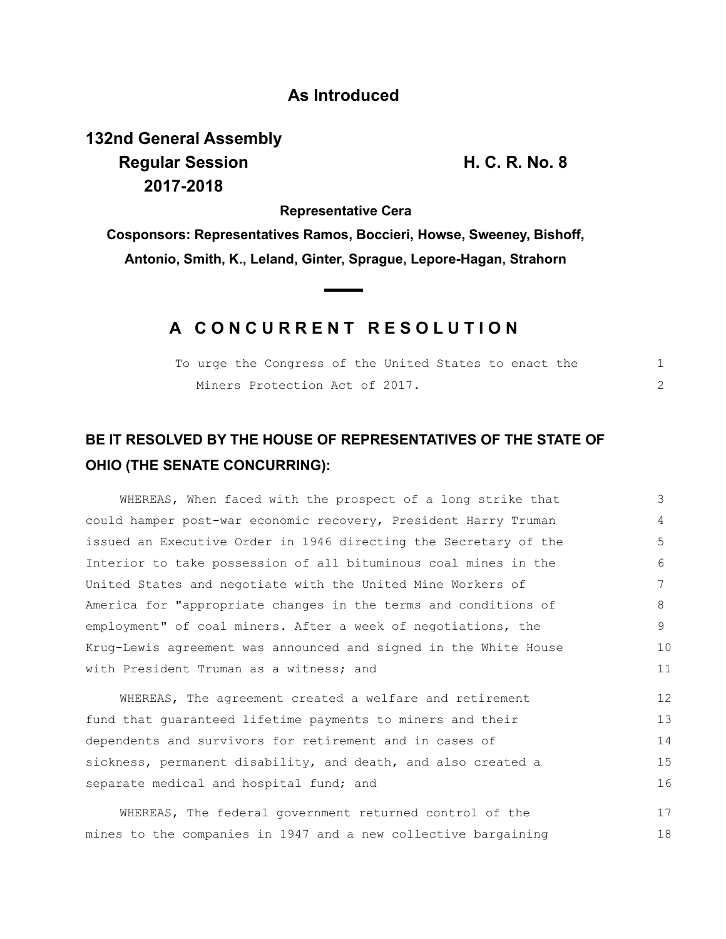### **As Introduced**

# **132nd General Assembly Regular Session H. C. R. No. 8 2017-2018**

**Representative Cera**

**Cosponsors: Representatives Ramos, Boccieri, Howse, Sweeney, Bishoff, Antonio, Smith, K., Leland, Ginter, Sprague, Lepore-Hagan, Strahorn**

## **A C O N C U R R E N T R E S O L U T I O N**

|  | To urge the Congress of the United States to enact the |  |  |  |  |  |
|--|--------------------------------------------------------|--|--|--|--|--|
|  | Miners Protection Act of 2017.                         |  |  |  |  |  |

## **BE IT RESOLVED BY THE HOUSE OF REPRESENTATIVES OF THE STATE OF OHIO (THE SENATE CONCURRING):**

WHEREAS, When faced with the prospect of a long strike that could hamper post-war economic recovery, President Harry Truman issued an Executive Order in 1946 directing the Secretary of the Interior to take possession of all bituminous coal mines in the United States and negotiate with the United Mine Workers of America for "appropriate changes in the terms and conditions of employment" of coal miners. After a week of negotiations, the Krug-Lewis agreement was announced and signed in the White House with President Truman as a witness; and 3 10 11

WHEREAS, The agreement created a welfare and retirement fund that guaranteed lifetime payments to miners and their dependents and survivors for retirement and in cases of sickness, permanent disability, and death, and also created a separate medical and hospital fund; and 12 13 14 15 16

WHEREAS, The federal government returned control of the mines to the companies in 1947 and a new collective bargaining 17 18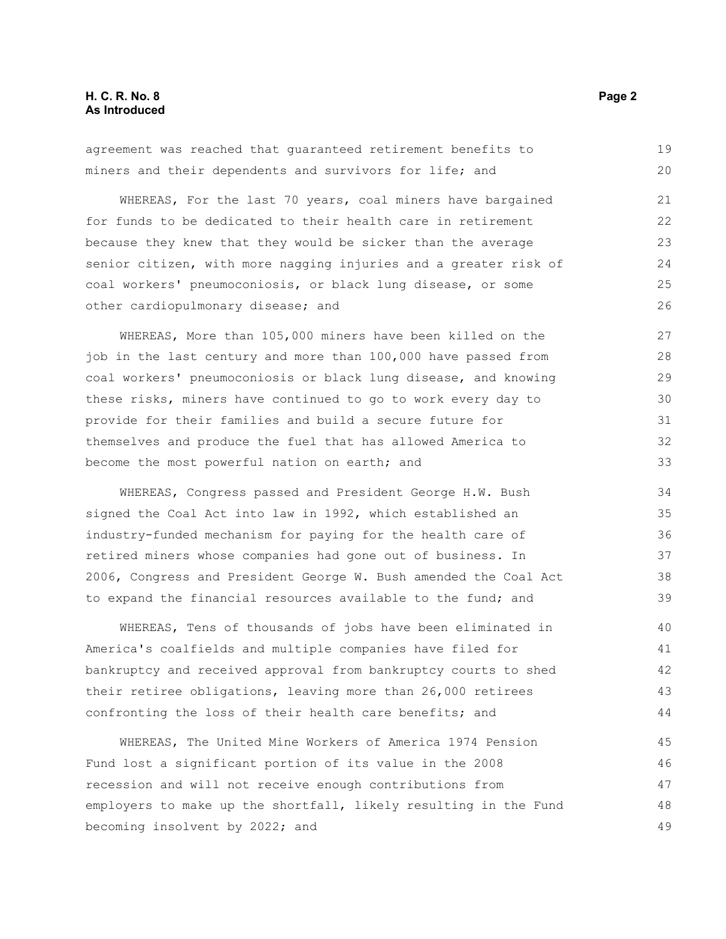#### **H. C. R. No. 8 Page 2 As Introduced**

|  | agreement was reached that quaranteed retirement benefits to |  | 19 |  |
|--|--------------------------------------------------------------|--|----|--|
|  | miners and their dependents and survivors for life; and      |  | 20 |  |

WHEREAS, For the last 70 years, coal miners have bargained for funds to be dedicated to their health care in retirement because they knew that they would be sicker than the average senior citizen, with more nagging injuries and a greater risk of coal workers' pneumoconiosis, or black lung disease, or some other cardiopulmonary disease; and

WHEREAS, More than 105,000 miners have been killed on the job in the last century and more than 100,000 have passed from coal workers' pneumoconiosis or black lung disease, and knowing these risks, miners have continued to go to work every day to provide for their families and build a secure future for themselves and produce the fuel that has allowed America to become the most powerful nation on earth; and

WHEREAS, Congress passed and President George H.W. Bush signed the Coal Act into law in 1992, which established an industry-funded mechanism for paying for the health care of retired miners whose companies had gone out of business. In 2006, Congress and President George W. Bush amended the Coal Act to expand the financial resources available to the fund; and

WHEREAS, Tens of thousands of jobs have been eliminated in America's coalfields and multiple companies have filed for bankruptcy and received approval from bankruptcy courts to shed their retiree obligations, leaving more than 26,000 retirees confronting the loss of their health care benefits; and 40 41 42 43 44

WHEREAS, The United Mine Workers of America 1974 Pension Fund lost a significant portion of its value in the 2008 recession and will not receive enough contributions from employers to make up the shortfall, likely resulting in the Fund becoming insolvent by 2022; and 45 46 47 48 49